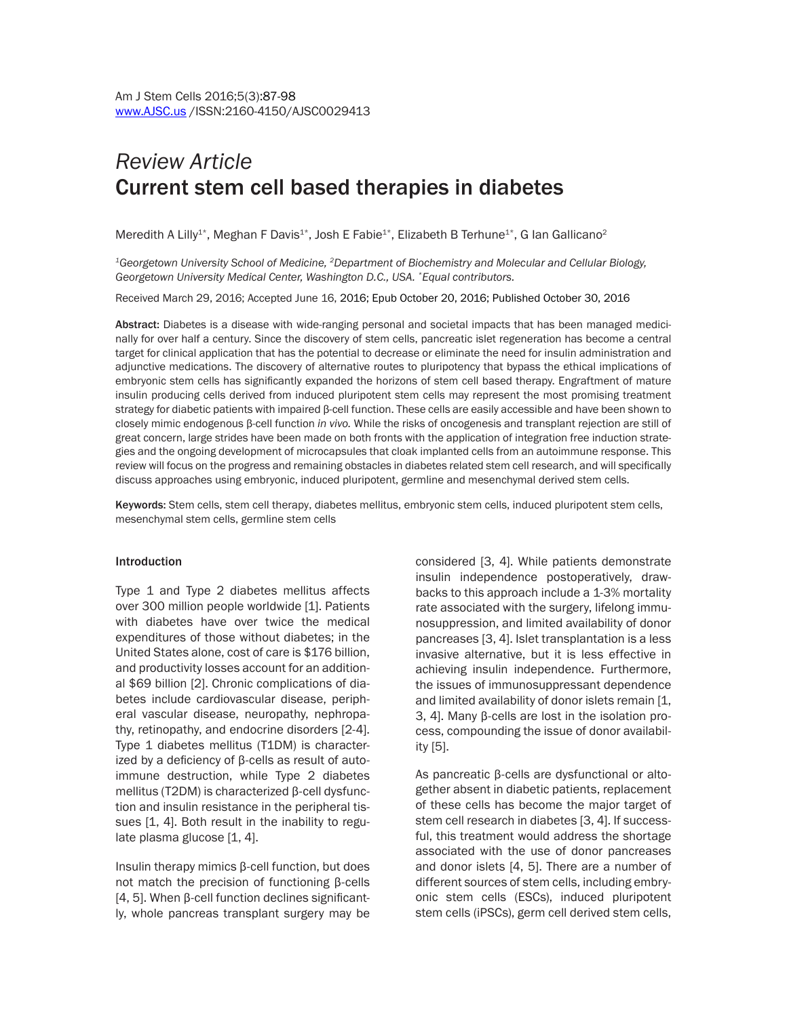# *Review Article* Current stem cell based therapies in diabetes

Meredith A Lilly<sup>1\*</sup>, Meghan F Davis<sup>1\*</sup>, Josh E Fabie<sup>1\*</sup>, Elizabeth B Terhune<sup>1\*</sup>, G lan Gallicano<sup>2</sup>

*1Georgetown University School of Medicine, 2Department of Biochemistry and Molecular and Cellular Biology, Georgetown University Medical Center, Washington D.C., USA. \*Equal contributors.*

Received March 29, 2016; Accepted June 16, 2016; Epub October 20, 2016; Published October 30, 2016

Abstract: Diabetes is a disease with wide-ranging personal and societal impacts that has been managed medicinally for over half a century. Since the discovery of stem cells, pancreatic islet regeneration has become a central target for clinical application that has the potential to decrease or eliminate the need for insulin administration and adjunctive medications. The discovery of alternative routes to pluripotency that bypass the ethical implications of embryonic stem cells has significantly expanded the horizons of stem cell based therapy. Engraftment of mature insulin producing cells derived from induced pluripotent stem cells may represent the most promising treatment strategy for diabetic patients with impaired β-cell function. These cells are easily accessible and have been shown to closely mimic endogenous β-cell function *in vivo.* While the risks of oncogenesis and transplant rejection are still of great concern, large strides have been made on both fronts with the application of integration free induction strategies and the ongoing development of microcapsules that cloak implanted cells from an autoimmune response. This review will focus on the progress and remaining obstacles in diabetes related stem cell research, and will specifically discuss approaches using embryonic, induced pluripotent, germline and mesenchymal derived stem cells.

Keywords: Stem cells, stem cell therapy, diabetes mellitus, embryonic stem cells, induced pluripotent stem cells, mesenchymal stem cells, germline stem cells

#### Introduction

Type 1 and Type 2 diabetes mellitus affects over 300 million people worldwide [1]. Patients with diabetes have over twice the medical expenditures of those without diabetes; in the United States alone, cost of care is \$176 billion, and productivity losses account for an additional \$69 billion [2]. Chronic complications of diabetes include cardiovascular disease, peripheral vascular disease, neuropathy, nephropathy, retinopathy, and endocrine disorders [2-4]. Type 1 diabetes mellitus (T1DM) is characterized by a deficiency of β-cells as result of autoimmune destruction, while Type 2 diabetes mellitus (T2DM) is characterized β-cell dysfunction and insulin resistance in the peripheral tissues [1, 4]. Both result in the inability to regulate plasma glucose [1, 4].

Insulin therapy mimics β-cell function, but does not match the precision of functioning β-cells [4, 5]. When β-cell function declines significantly, whole pancreas transplant surgery may be considered [3, 4]. While patients demonstrate insulin independence postoperatively, drawbacks to this approach include a 1-3% mortality rate associated with the surgery, lifelong immunosuppression, and limited availability of donor pancreases [3, 4]. Islet transplantation is a less invasive alternative, but it is less effective in achieving insulin independence. Furthermore, the issues of immunosuppressant dependence and limited availability of donor islets remain [1, 3, 4]. Many β-cells are lost in the isolation process, compounding the issue of donor availability [5].

As pancreatic β-cells are dysfunctional or altogether absent in diabetic patients, replacement of these cells has become the major target of stem cell research in diabetes [3, 4]. If successful, this treatment would address the shortage associated with the use of donor pancreases and donor islets [4, 5]. There are a number of different sources of stem cells, including embryonic stem cells (ESCs), induced pluripotent stem cells (iPSCs), germ cell derived stem cells,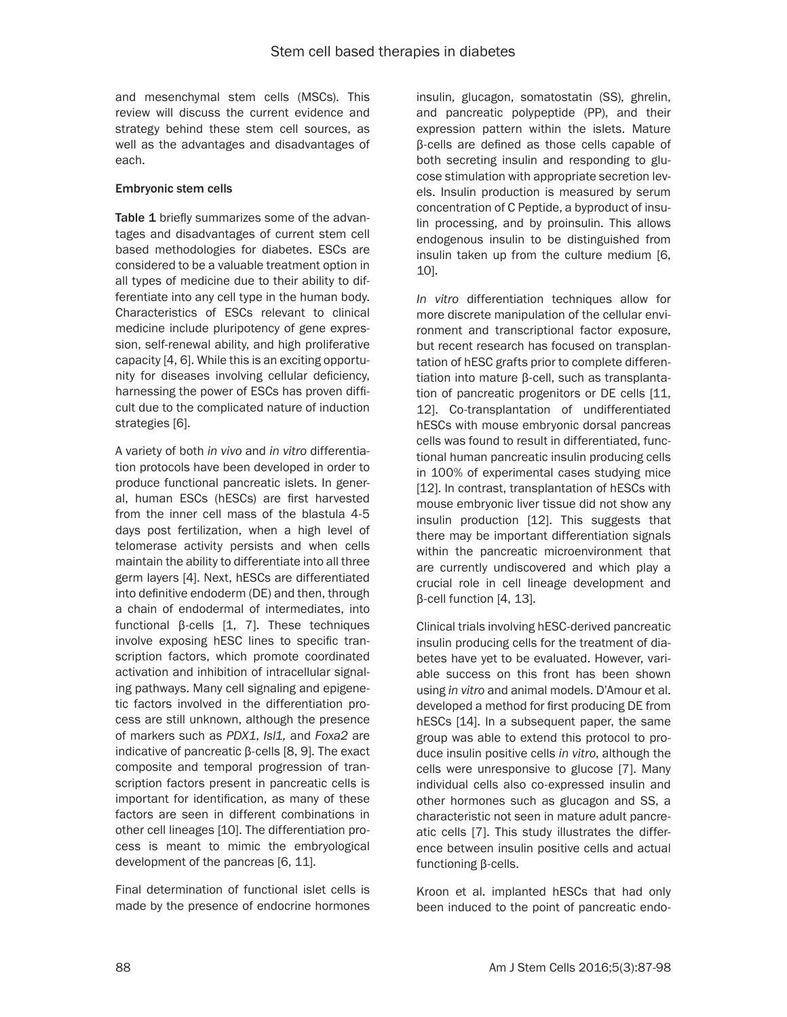and mesenchymal stem cells (MSCs). This review will discuss the current evidence and strategy behind these stem cell sources, as well as the advantages and disadvantages of each.

### Embryonic stem cells

Table 1 briefly summarizes some of the advantages and disadvantages of current stem cell based methodologies for diabetes. ESCs are considered to be a valuable treatment option in all types of medicine due to their ability to differentiate into any cell type in the human body. Characteristics of ESCs relevant to clinical medicine include pluripotency of gene expression, self-renewal ability, and high proliferative capacity [4, 6]. While this is an exciting opportunity for diseases involving cellular deficiency, harnessing the power of ESCs has proven difficult due to the complicated nature of induction strategies [6].

A variety of both *in vivo* and *in vitro* differentiation protocols have been developed in order to produce functional pancreatic islets. In general, human ESCs (hESCs) are first harvested from the inner cell mass of the blastula 4-5 days post fertilization, when a high level of telomerase activity persists and when cells maintain the ability to differentiate into all three germ layers [4]. Next, hESCs are differentiated into definitive endoderm (DE) and then, through a chain of endodermal of intermediates, into functional β-cells [1, 7]. These techniques involve exposing hESC lines to specific transcription factors, which promote coordinated activation and inhibition of intracellular signaling pathways. Many cell signaling and epigenetic factors involved in the differentiation process are still unknown, although the presence of markers such as *PDX1*, *Isl1,* and *Foxa2* are indicative of pancreatic β-cells [8, 9]. The exact composite and temporal progression of transcription factors present in pancreatic cells is important for identification, as many of these factors are seen in different combinations in other cell lineages [10]. The differentiation process is meant to mimic the embryological development of the pancreas [6, 11].

Final determination of functional islet cells is made by the presence of endocrine hormones insulin, glucagon, somatostatin (SS), ghrelin, and pancreatic polypeptide (PP), and their expression pattern within the islets. Mature β-cells are defined as those cells capable of both secreting insulin and responding to glucose stimulation with appropriate secretion levels. Insulin production is measured by serum concentration of C Peptide, a byproduct of insulin processing, and by proinsulin. This allows endogenous insulin to be distinguished from insulin taken up from the culture medium [6, 10].

*In vitro* differentiation techniques allow for more discrete manipulation of the cellular environment and transcriptional factor exposure, but recent research has focused on transplantation of hESC grafts prior to complete differentiation into mature β-cell, such as transplantation of pancreatic progenitors or DE cells [11, 12]. Co-transplantation of undifferentiated hESCs with mouse embryonic dorsal pancreas cells was found to result in differentiated, functional human pancreatic insulin producing cells in 100% of experimental cases studying mice [12]. In contrast, transplantation of hESCs with mouse embryonic liver tissue did not show any insulin production [12]. This suggests that there may be important differentiation signals within the pancreatic microenvironment that are currently undiscovered and which play a crucial role in cell lineage development and β-cell function [4, 13].

Clinical trials involving hESC-derived pancreatic insulin producing cells for the treatment of diabetes have yet to be evaluated. However, variable success on this front has been shown using *in vitro* and animal models. D'Amour et al. developed a method for first producing DE from hESCs [14]. In a subsequent paper, the same group was able to extend this protocol to produce insulin positive cells *in vitro*, although the cells were unresponsive to glucose [7]. Many individual cells also co-expressed insulin and other hormones such as glucagon and SS, a characteristic not seen in mature adult pancreatic cells [7]. This study illustrates the difference between insulin positive cells and actual functioning β-cells.

Kroon et al. implanted hESCs that had only been induced to the point of pancreatic endo-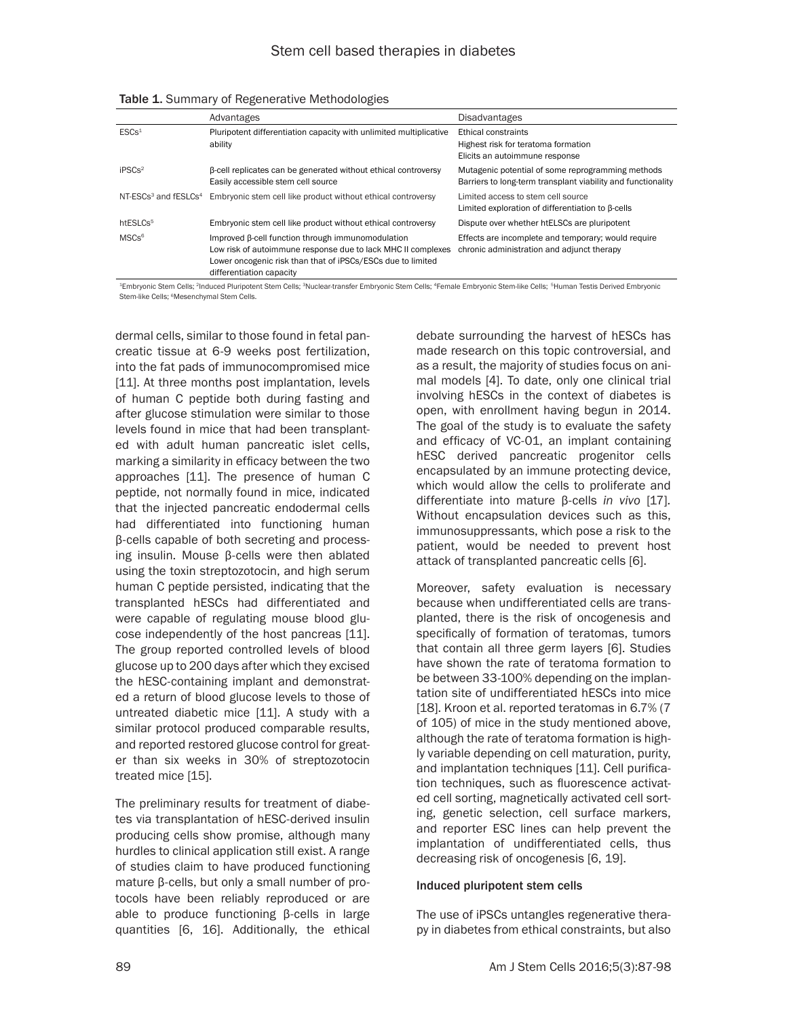|                                              | Advantages                                                                                                                                                                                                   | <b>Disadvantages</b>                                                                                              |
|----------------------------------------------|--------------------------------------------------------------------------------------------------------------------------------------------------------------------------------------------------------------|-------------------------------------------------------------------------------------------------------------------|
| ESCs <sup>1</sup>                            | Pluripotent differentiation capacity with unlimited multiplicative<br>ability                                                                                                                                | Ethical constraints<br>Highest risk for teratoma formation<br>Elicits an autoimmune response                      |
| iPSCs <sup>2</sup>                           | B-cell replicates can be generated without ethical controversy<br>Easily accessible stem cell source                                                                                                         | Mutagenic potential of some reprogramming methods<br>Barriers to long-term transplant viability and functionality |
| NT-ESCs <sup>3</sup> and fESLCs <sup>4</sup> | Embryonic stem cell like product without ethical controversy                                                                                                                                                 | Limited access to stem cell source<br>Limited exploration of differentiation to B-cells                           |
| htESLCs <sup>5</sup>                         | Embryonic stem cell like product without ethical controversy                                                                                                                                                 | Dispute over whether htELSCs are pluripotent                                                                      |
| MSCs <sup>6</sup>                            | Improved B-cell function through immunomodulation<br>Low risk of autoimmune response due to lack MHC II complexes<br>Lower oncogenic risk than that of iPSCs/ESCs due to limited<br>differentiation capacity | Effects are incomplete and temporary; would require<br>chronic administration and adjunct therapy                 |

Table 1. Summary of Regenerative Methodologies

<sup>1</sup>Embryonic Stem Cells; <sup>2</sup>Induced Pluripotent Stem Cells; <sup>3</sup>Nuclear-transfer Embryonic Stem Cells; <sup>4</sup>Female Embryonic Stem-like Cells; <sup>5</sup>Human Testis Derived Embryonic Stem-like Cells: <sup>6</sup>Mesenchymal Stem Cells.

dermal cells, similar to those found in fetal pancreatic tissue at 6-9 weeks post fertilization, into the fat pads of immunocompromised mice [11]. At three months post implantation, levels of human C peptide both during fasting and after glucose stimulation were similar to those levels found in mice that had been transplanted with adult human pancreatic islet cells, marking a similarity in efficacy between the two approaches [11]. The presence of human C peptide, not normally found in mice, indicated that the injected pancreatic endodermal cells had differentiated into functioning human β-cells capable of both secreting and processing insulin. Mouse β-cells were then ablated using the toxin streptozotocin, and high serum human C peptide persisted, indicating that the transplanted hESCs had differentiated and were capable of regulating mouse blood glucose independently of the host pancreas [11]. The group reported controlled levels of blood glucose up to 200 days after which they excised the hESC-containing implant and demonstrated a return of blood glucose levels to those of untreated diabetic mice [11]. A study with a similar protocol produced comparable results, and reported restored glucose control for greater than six weeks in 30% of streptozotocin treated mice [15].

The preliminary results for treatment of diabetes via transplantation of hESC-derived insulin producing cells show promise, although many hurdles to clinical application still exist. A range of studies claim to have produced functioning mature β-cells, but only a small number of protocols have been reliably reproduced or are able to produce functioning β-cells in large quantities [6, 16]. Additionally, the ethical

debate surrounding the harvest of hESCs has made research on this topic controversial, and as a result, the majority of studies focus on animal models [4]. To date, only one clinical trial involving hESCs in the context of diabetes is open, with enrollment having begun in 2014. The goal of the study is to evaluate the safety and efficacy of VC-01, an implant containing hESC derived pancreatic progenitor cells encapsulated by an immune protecting device, which would allow the cells to proliferate and differentiate into mature β-cells *in vivo* [17]*.*  Without encapsulation devices such as this, immunosuppressants, which pose a risk to the patient, would be needed to prevent host attack of transplanted pancreatic cells [6].

Moreover, safety evaluation is necessary because when undifferentiated cells are transplanted, there is the risk of oncogenesis and specifically of formation of teratomas, tumors that contain all three germ layers [6]. Studies have shown the rate of teratoma formation to be between 33-100% depending on the implantation site of undifferentiated hESCs into mice [18]. Kroon et al. reported teratomas in 6.7% (7) of 105) of mice in the study mentioned above, although the rate of teratoma formation is highly variable depending on cell maturation, purity, and implantation techniques [11]. Cell purification techniques, such as fluorescence activated cell sorting, magnetically activated cell sorting, genetic selection, cell surface markers, and reporter ESC lines can help prevent the implantation of undifferentiated cells, thus decreasing risk of oncogenesis [6, 19].

#### Induced pluripotent stem cells

The use of iPSCs untangles regenerative therapy in diabetes from ethical constraints, but also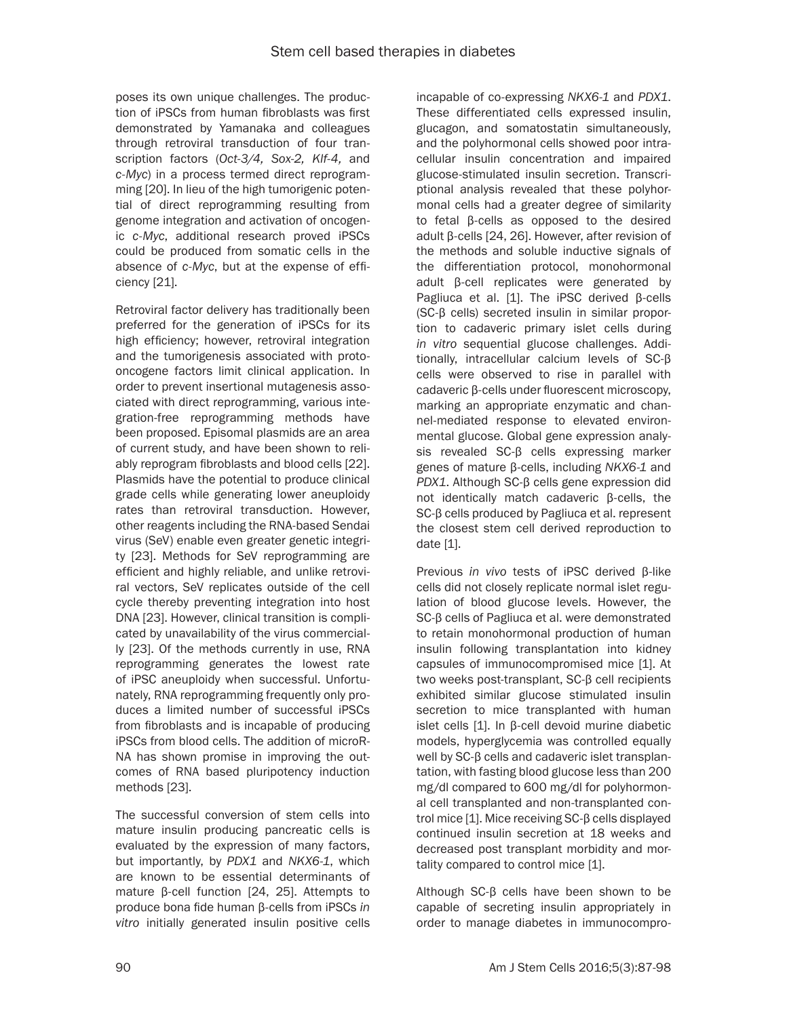poses its own unique challenges. The production of iPSCs from human fibroblasts was first demonstrated by Yamanaka and colleagues through retroviral transduction of four transcription factors (*Oct-3/4, Sox-2, Klf-4,* and *c-Myc*) in a process termed direct reprogramming [20]. In lieu of the high tumorigenic potential of direct reprogramming resulting from genome integration and activation of oncogenic *c-Myc*, additional research proved iPSCs could be produced from somatic cells in the absence of *c-Myc*, but at the expense of efficiency [21].

Retroviral factor delivery has traditionally been preferred for the generation of iPSCs for its high efficiency; however, retroviral integration and the tumorigenesis associated with protooncogene factors limit clinical application. In order to prevent insertional mutagenesis associated with direct reprogramming, various integration-free reprogramming methods have been proposed. Episomal plasmids are an area of current study, and have been shown to reliably reprogram fibroblasts and blood cells [22]. Plasmids have the potential to produce clinical grade cells while generating lower aneuploidy rates than retroviral transduction. However, other reagents including the RNA-based Sendai virus (SeV) enable even greater genetic integrity [23]. Methods for SeV reprogramming are efficient and highly reliable, and unlike retroviral vectors, SeV replicates outside of the cell cycle thereby preventing integration into host DNA [23]. However, clinical transition is complicated by unavailability of the virus commercially [23]. Of the methods currently in use, RNA reprogramming generates the lowest rate of iPSC aneuploidy when successful. Unfortunately, RNA reprogramming frequently only produces a limited number of successful iPSCs from fibroblasts and is incapable of producing iPSCs from blood cells. The addition of microR-NA has shown promise in improving the outcomes of RNA based pluripotency induction methods [23].

The successful conversion of stem cells into mature insulin producing pancreatic cells is evaluated by the expression of many factors, but importantly, by *PDX1* and *NKX6-1*, which are known to be essential determinants of mature β-cell function [24, 25]. Attempts to produce bona fide human β-cells from iPSCs *in vitro* initially generated insulin positive cells

incapable of co-expressing *NKX6-1* and *PDX1*. These differentiated cells expressed insulin, glucagon, and somatostatin simultaneously, and the polyhormonal cells showed poor intracellular insulin concentration and impaired glucose-stimulated insulin secretion. Transcriptional analysis revealed that these polyhormonal cells had a greater degree of similarity to fetal β-cells as opposed to the desired adult β-cells [24, 26]. However, after revision of the methods and soluble inductive signals of the differentiation protocol, monohormonal adult β-cell replicates were generated by Pagliuca et al. [1]. The iPSC derived β-cells (SC-β cells) secreted insulin in similar proportion to cadaveric primary islet cells during *in vitro* sequential glucose challenges. Additionally, intracellular calcium levels of SC-β cells were observed to rise in parallel with cadaveric β-cells under fluorescent microscopy, marking an appropriate enzymatic and channel-mediated response to elevated environmental glucose. Global gene expression analysis revealed SC-β cells expressing marker genes of mature β-cells, including *NKX6-1* and *PDX1*. Although SC-β cells gene expression did not identically match cadaveric β-cells, the SC-β cells produced by Pagliuca et al. represent the closest stem cell derived reproduction to date [1].

Previous *in vivo* tests of iPSC derived β-like cells did not closely replicate normal islet regulation of blood glucose levels. However, the SC-β cells of Pagliuca et al. were demonstrated to retain monohormonal production of human insulin following transplantation into kidney capsules of immunocompromised mice [1]. At two weeks post-transplant, SC-β cell recipients exhibited similar glucose stimulated insulin secretion to mice transplanted with human islet cells [1]. In β-cell devoid murine diabetic models, hyperglycemia was controlled equally well by SC-β cells and cadaveric islet transplantation, with fasting blood glucose less than 200 mg/dl compared to 600 mg/dl for polyhormonal cell transplanted and non-transplanted control mice [1]. Mice receiving SC-β cells displayed continued insulin secretion at 18 weeks and decreased post transplant morbidity and mortality compared to control mice [1].

Although SC-β cells have been shown to be capable of secreting insulin appropriately in order to manage diabetes in immunocompro-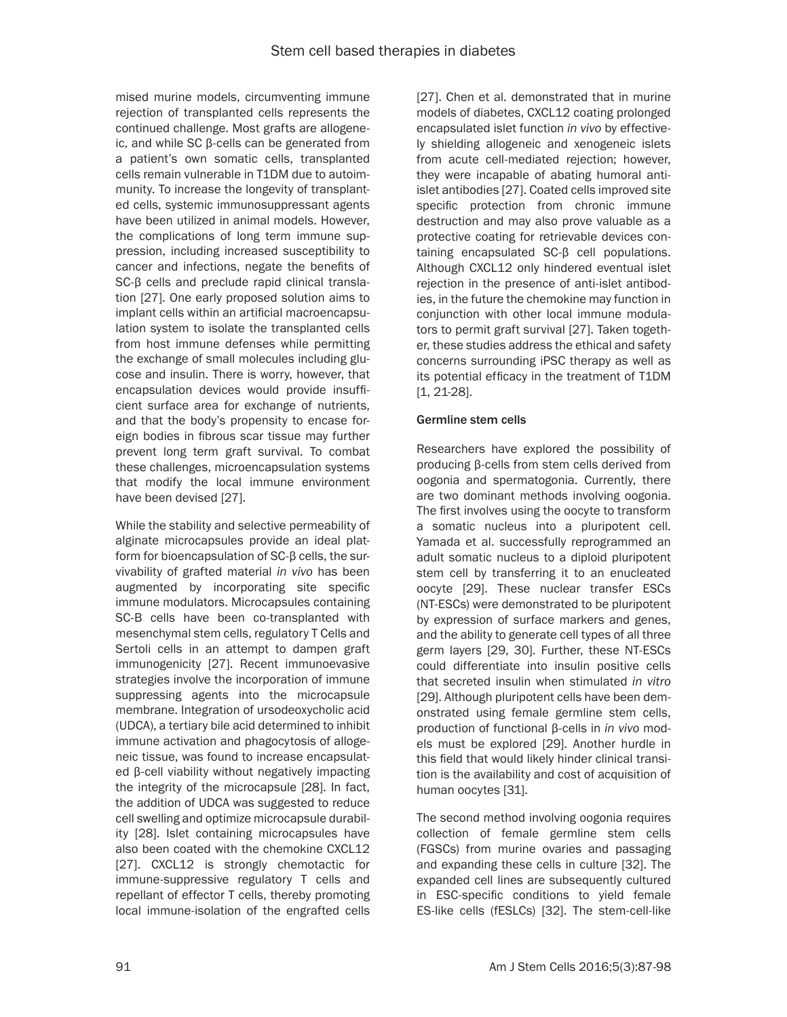mised murine models, circumventing immune rejection of transplanted cells represents the continued challenge. Most grafts are allogeneic, and while SC β-cells can be generated from a patient's own somatic cells, transplanted cells remain vulnerable in T1DM due to autoimmunity. To increase the longevity of transplanted cells, systemic immunosuppressant agents have been utilized in animal models. However, the complications of long term immune suppression, including increased susceptibility to cancer and infections, negate the benefits of SC-β cells and preclude rapid clinical translation [27]. One early proposed solution aims to implant cells within an artificial macroencapsulation system to isolate the transplanted cells from host immune defenses while permitting the exchange of small molecules including glucose and insulin. There is worry, however, that encapsulation devices would provide insufficient surface area for exchange of nutrients, and that the body's propensity to encase foreign bodies in fibrous scar tissue may further prevent long term graft survival. To combat these challenges, microencapsulation systems that modify the local immune environment have been devised [27].

While the stability and selective permeability of alginate microcapsules provide an ideal platform for bioencapsulation of SC-β cells, the survivability of grafted material *in vivo* has been augmented by incorporating site specific immune modulators. Microcapsules containing SC-B cells have been co-transplanted with mesenchymal stem cells, regulatory T Cells and Sertoli cells in an attempt to dampen graft immunogenicity [27]. Recent immunoevasive strategies involve the incorporation of immune suppressing agents into the microcapsule membrane. Integration of ursodeoxycholic acid (UDCA), a tertiary bile acid determined to inhibit immune activation and phagocytosis of allogeneic tissue, was found to increase encapsulated β-cell viability without negatively impacting the integrity of the microcapsule [28]. In fact, the addition of UDCA was suggested to reduce cell swelling and optimize microcapsule durability [28]. Islet containing microcapsules have also been coated with the chemokine CXCL12 [27]. CXCL12 is strongly chemotactic for immune-suppressive regulatory T cells and repellant of effector T cells, thereby promoting local immune-isolation of the engrafted cells [27]. Chen et al. demonstrated that in murine models of diabetes, CXCL12 coating prolonged encapsulated islet function *in vivo* by effectively shielding allogeneic and xenogeneic islets from acute cell-mediated rejection; however, they were incapable of abating humoral antiislet antibodies [27]. Coated cells improved site specific protection from chronic immune destruction and may also prove valuable as a protective coating for retrievable devices containing encapsulated SC-β cell populations. Although CXCL12 only hindered eventual islet rejection in the presence of anti-islet antibodies, in the future the chemokine may function in conjunction with other local immune modulators to permit graft survival [27]. Taken together, these studies address the ethical and safety concerns surrounding iPSC therapy as well as its potential efficacy in the treatment of T1DM [1, 21-28].

# Germline stem cells

Researchers have explored the possibility of producing β-cells from stem cells derived from oogonia and spermatogonia. Currently, there are two dominant methods involving oogonia. The first involves using the oocyte to transform a somatic nucleus into a pluripotent cell. Yamada et al. successfully reprogrammed an adult somatic nucleus to a diploid pluripotent stem cell by transferring it to an enucleated oocyte [29]. These nuclear transfer ESCs (NT-ESCs) were demonstrated to be pluripotent by expression of surface markers and genes, and the ability to generate cell types of all three germ layers [29, 30]. Further, these NT-ESCs could differentiate into insulin positive cells that secreted insulin when stimulated *in vitro*  [29]. Although pluripotent cells have been demonstrated using female germline stem cells, production of functional β-cells in *in vivo* models must be explored [29]. Another hurdle in this field that would likely hinder clinical transition is the availability and cost of acquisition of human oocytes [31].

The second method involving oogonia requires collection of female germline stem cells (FGSCs) from murine ovaries and passaging and expanding these cells in culture [32]. The expanded cell lines are subsequently cultured in ESC-specific conditions to yield female ES-like cells (fESLCs) [32]. The stem-cell-like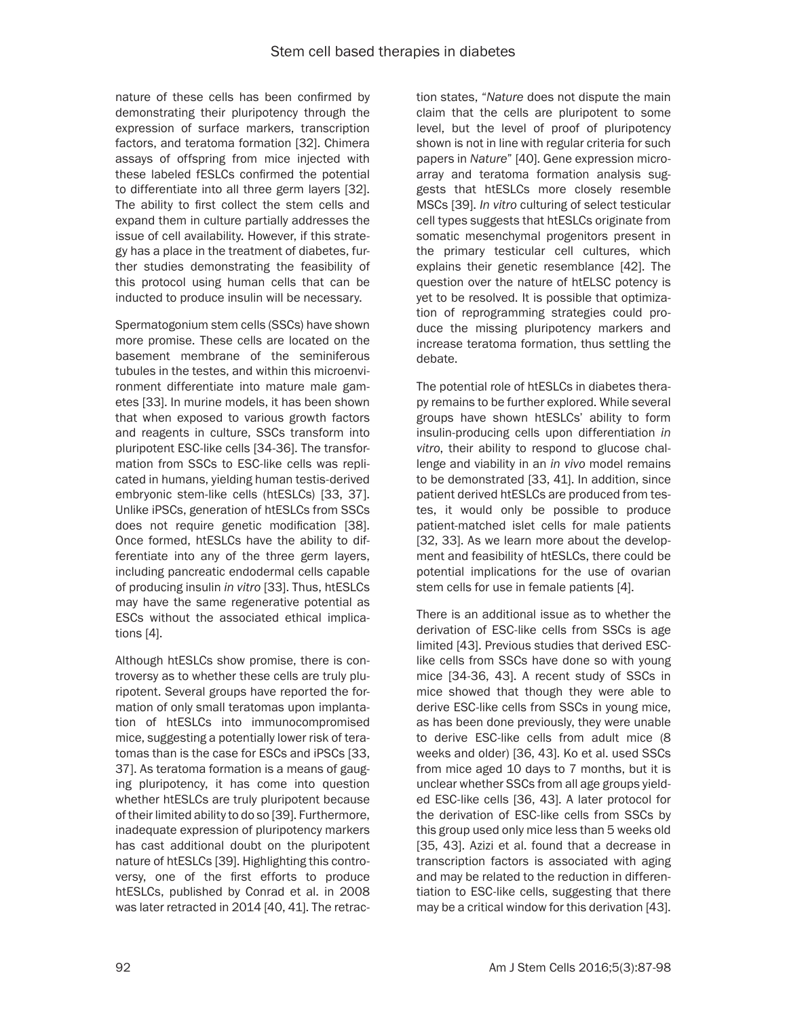nature of these cells has been confirmed by demonstrating their pluripotency through the expression of surface markers, transcription factors, and teratoma formation [32]. Chimera assays of offspring from mice injected with these labeled fESLCs confirmed the potential to differentiate into all three germ layers [32]. The ability to first collect the stem cells and expand them in culture partially addresses the issue of cell availability. However, if this strategy has a place in the treatment of diabetes, further studies demonstrating the feasibility of this protocol using human cells that can be inducted to produce insulin will be necessary.

Spermatogonium stem cells (SSCs) have shown more promise. These cells are located on the basement membrane of the seminiferous tubules in the testes, and within this microenvironment differentiate into mature male gametes [33]. In murine models, it has been shown that when exposed to various growth factors and reagents in culture, SSCs transform into pluripotent ESC-like cells [34-36]. The transformation from SSCs to ESC-like cells was replicated in humans, yielding human testis-derived embryonic stem-like cells (htESLCs) [33, 37]. Unlike iPSCs, generation of htESLCs from SSCs does not require genetic modification [38]. Once formed, htESLCs have the ability to differentiate into any of the three germ layers, including pancreatic endodermal cells capable of producing insulin *in vitro* [33]. Thus, htESLCs may have the same regenerative potential as ESCs without the associated ethical implications [4].

Although htESLCs show promise, there is controversy as to whether these cells are truly pluripotent. Several groups have reported the formation of only small teratomas upon implantation of htESLCs into immunocompromised mice, suggesting a potentially lower risk of teratomas than is the case for ESCs and iPSCs [33, 37]. As teratoma formation is a means of gauging pluripotency, it has come into question whether htESLCs are truly pluripotent because of their limited ability to do so [39]. Furthermore, inadequate expression of pluripotency markers has cast additional doubt on the pluripotent nature of htESLCs [39]. Highlighting this controversy, one of the first efforts to produce htESLCs, published by Conrad et al. in 2008 was later retracted in 2014 [40, 41]. The retrac-

tion states, "*Nature* does not dispute the main claim that the cells are pluripotent to some level, but the level of proof of pluripotency shown is not in line with regular criteria for such papers in *Nature*" [40]. Gene expression microarray and teratoma formation analysis suggests that htESLCs more closely resemble MSCs [39]. *In vitro* culturing of select testicular cell types suggests that htESLCs originate from somatic mesenchymal progenitors present in the primary testicular cell cultures, which explains their genetic resemblance [42]. The question over the nature of htELSC potency is yet to be resolved. It is possible that optimization of reprogramming strategies could produce the missing pluripotency markers and increase teratoma formation, thus settling the debate.

The potential role of htESLCs in diabetes therapy remains to be further explored. While several groups have shown htESLCs' ability to form insulin-producing cells upon differentiation *in vitro*, their ability to respond to glucose challenge and viability in an *in vivo* model remains to be demonstrated [33, 41]. In addition, since patient derived htESLCs are produced from testes, it would only be possible to produce patient-matched islet cells for male patients [32, 33]. As we learn more about the development and feasibility of htESLCs, there could be potential implications for the use of ovarian stem cells for use in female patients [4].

There is an additional issue as to whether the derivation of ESC-like cells from SSCs is age limited [43]. Previous studies that derived ESClike cells from SSCs have done so with young mice [34-36, 43]. A recent study of SSCs in mice showed that though they were able to derive ESC-like cells from SSCs in young mice, as has been done previously, they were unable to derive ESC-like cells from adult mice (8 weeks and older) [36, 43]. Ko et al. used SSCs from mice aged 10 days to 7 months, but it is unclear whether SSCs from all age groups yielded ESC-like cells [36, 43]. A later protocol for the derivation of ESC-like cells from SSCs by this group used only mice less than 5 weeks old [35, 43]. Azizi et al. found that a decrease in transcription factors is associated with aging and may be related to the reduction in differentiation to ESC-like cells, suggesting that there may be a critical window for this derivation [43].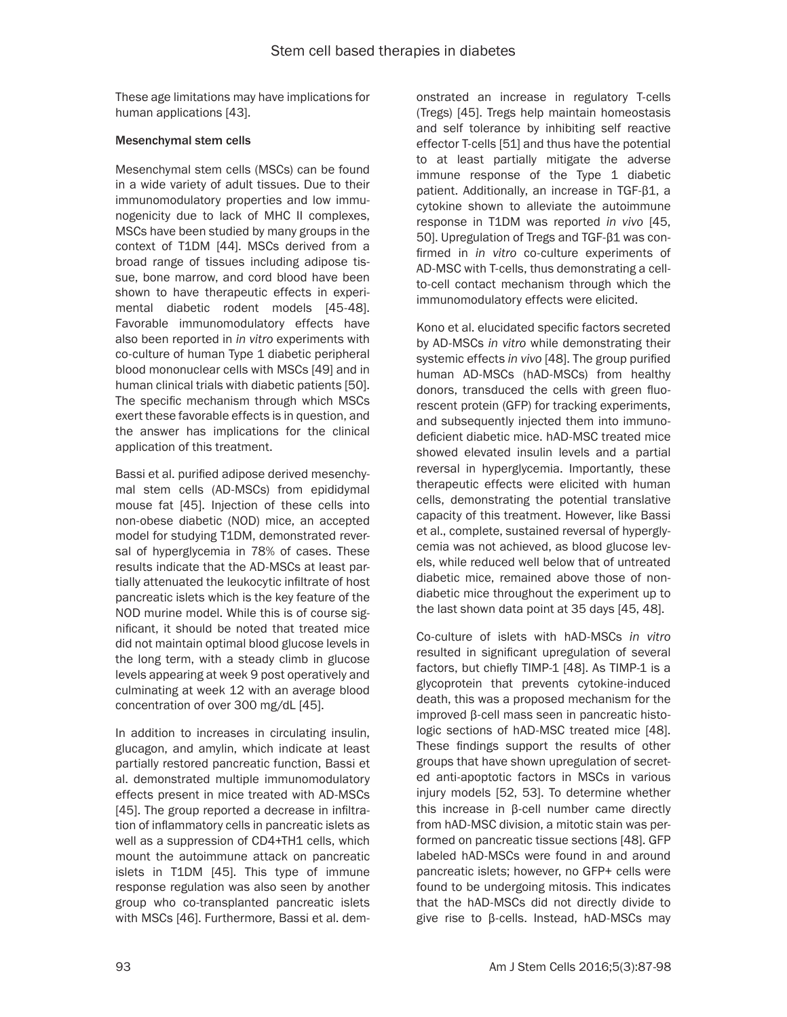These age limitations may have implications for human applications [43].

### Mesenchymal stem cells

Mesenchymal stem cells (MSCs) can be found in a wide variety of adult tissues. Due to their immunomodulatory properties and low immunogenicity due to lack of MHC II complexes, MSCs have been studied by many groups in the context of T1DM [44]. MSCs derived from a broad range of tissues including adipose tissue, bone marrow, and cord blood have been shown to have therapeutic effects in experimental diabetic rodent models [45-48]. Favorable immunomodulatory effects have also been reported in *in vitro* experiments with co-culture of human Type 1 diabetic peripheral blood mononuclear cells with MSCs [49] and in human clinical trials with diabetic patients [50]. The specific mechanism through which MSCs exert these favorable effects is in question, and the answer has implications for the clinical application of this treatment.

Bassi et al. purified adipose derived mesenchymal stem cells (AD-MSCs) from epididymal mouse fat [45]. Injection of these cells into non-obese diabetic (NOD) mice, an accepted model for studying T1DM, demonstrated reversal of hyperglycemia in 78% of cases. These results indicate that the AD-MSCs at least partially attenuated the leukocytic infiltrate of host pancreatic islets which is the key feature of the NOD murine model. While this is of course significant, it should be noted that treated mice did not maintain optimal blood glucose levels in the long term, with a steady climb in glucose levels appearing at week 9 post operatively and culminating at week 12 with an average blood concentration of over 300 mg/dL [45].

In addition to increases in circulating insulin, glucagon, and amylin, which indicate at least partially restored pancreatic function, Bassi et al. demonstrated multiple immunomodulatory effects present in mice treated with AD-MSCs [45]. The group reported a decrease in infiltration of inflammatory cells in pancreatic islets as well as a suppression of CD4+TH1 cells, which mount the autoimmune attack on pancreatic islets in T1DM [45]. This type of immune response regulation was also seen by another group who co-transplanted pancreatic islets with MSCs [46]. Furthermore, Bassi et al. dem-

onstrated an increase in regulatory T-cells (Tregs) [45]. Tregs help maintain homeostasis and self tolerance by inhibiting self reactive effector T-cells [51] and thus have the potential to at least partially mitigate the adverse immune response of the Type 1 diabetic patient. Additionally, an increase in TGF-β1, a cytokine shown to alleviate the autoimmune response in T1DM was reported *in vivo* [45, 50]. Upregulation of Tregs and TGF-β1 was confirmed in *in vitro* co-culture experiments of AD-MSC with T-cells, thus demonstrating a cellto-cell contact mechanism through which the immunomodulatory effects were elicited.

Kono et al. elucidated specific factors secreted by AD-MSCs *in vitro* while demonstrating their systemic effects *in vivo* [48]. The group purified human AD-MSCs (hAD-MSCs) from healthy donors, transduced the cells with green fluorescent protein (GFP) for tracking experiments, and subsequently injected them into immunodeficient diabetic mice. hAD-MSC treated mice showed elevated insulin levels and a partial reversal in hyperglycemia. Importantly, these therapeutic effects were elicited with human cells, demonstrating the potential translative capacity of this treatment. However, like Bassi et al., complete, sustained reversal of hyperglycemia was not achieved, as blood glucose levels, while reduced well below that of untreated diabetic mice, remained above those of nondiabetic mice throughout the experiment up to the last shown data point at 35 days [45, 48].

Co-culture of islets with hAD-MSCs *in vitro*  resulted in significant upregulation of several factors, but chiefly TIMP-1 [48]. As TIMP-1 is a glycoprotein that prevents cytokine-induced death, this was a proposed mechanism for the improved β-cell mass seen in pancreatic histologic sections of hAD-MSC treated mice [48]. These findings support the results of other groups that have shown upregulation of secreted anti-apoptotic factors in MSCs in various injury models [52, 53]. To determine whether this increase in β-cell number came directly from hAD-MSC division, a mitotic stain was performed on pancreatic tissue sections [48]. GFP labeled hAD-MSCs were found in and around pancreatic islets; however, no GFP+ cells were found to be undergoing mitosis. This indicates that the hAD-MSCs did not directly divide to give rise to β-cells. Instead, hAD-MSCs may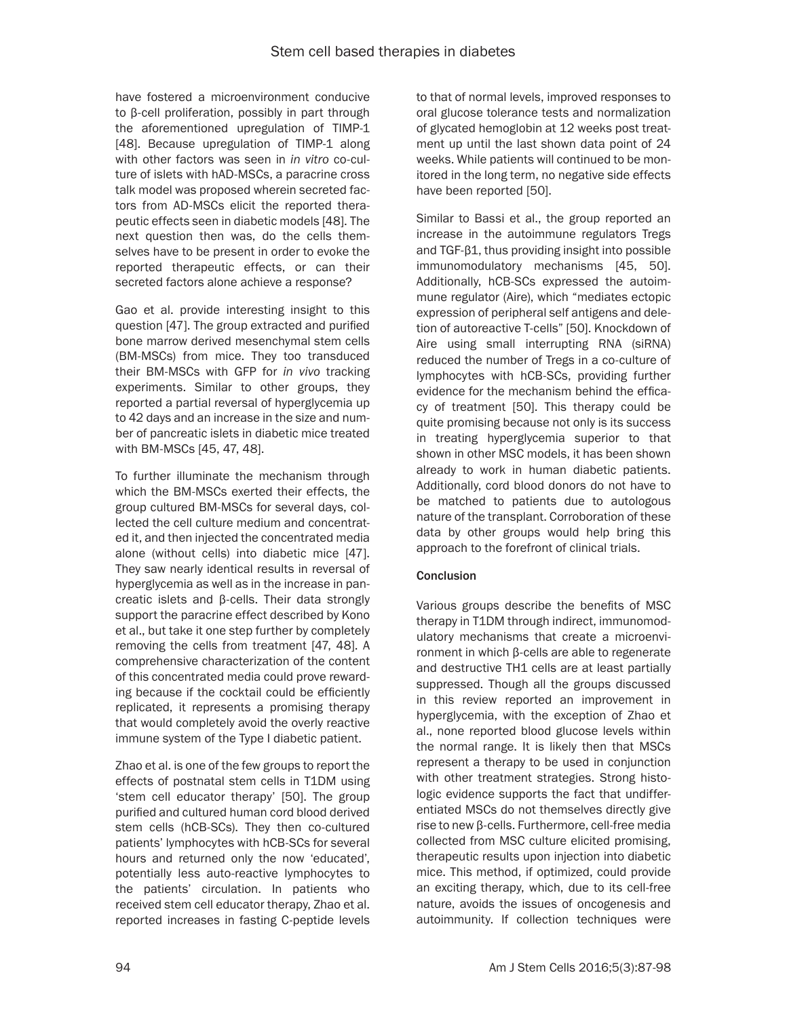have fostered a microenvironment conducive to β-cell proliferation, possibly in part through the aforementioned upregulation of TIMP-1 [48]. Because upregulation of TIMP-1 along with other factors was seen in *in vitro* co-culture of islets with hAD-MSCs, a paracrine cross talk model was proposed wherein secreted factors from AD-MSCs elicit the reported therapeutic effects seen in diabetic models [48]. The next question then was, do the cells themselves have to be present in order to evoke the reported therapeutic effects, or can their secreted factors alone achieve a response?

Gao et al. provide interesting insight to this question [47]. The group extracted and purified bone marrow derived mesenchymal stem cells (BM-MSCs) from mice. They too transduced their BM-MSCs with GFP for *in vivo* tracking experiments. Similar to other groups, they reported a partial reversal of hyperglycemia up to 42 days and an increase in the size and number of pancreatic islets in diabetic mice treated with BM-MSCs [45, 47, 48].

To further illuminate the mechanism through which the BM-MSCs exerted their effects, the group cultured BM-MSCs for several days, collected the cell culture medium and concentrated it, and then injected the concentrated media alone (without cells) into diabetic mice [47]. They saw nearly identical results in reversal of hyperglycemia as well as in the increase in pancreatic islets and β-cells. Their data strongly support the paracrine effect described by Kono et al., but take it one step further by completely removing the cells from treatment [47, 48]. A comprehensive characterization of the content of this concentrated media could prove rewarding because if the cocktail could be efficiently replicated, it represents a promising therapy that would completely avoid the overly reactive immune system of the Type I diabetic patient.

Zhao et al. is one of the few groups to report the effects of postnatal stem cells in T1DM using 'stem cell educator therapy' [50]. The group purified and cultured human cord blood derived stem cells (hCB-SCs). They then co-cultured patients' lymphocytes with hCB-SCs for several hours and returned only the now 'educated', potentially less auto-reactive lymphocytes to the patients' circulation. In patients who received stem cell educator therapy, Zhao et al. reported increases in fasting C-peptide levels to that of normal levels, improved responses to oral glucose tolerance tests and normalization of glycated hemoglobin at 12 weeks post treatment up until the last shown data point of 24 weeks. While patients will continued to be monitored in the long term, no negative side effects have been reported [50].

Similar to Bassi et al., the group reported an increase in the autoimmune regulators Tregs and TGF-β1, thus providing insight into possible immunomodulatory mechanisms [45, 50]. Additionally, hCB-SCs expressed the autoimmune regulator (Aire), which "mediates ectopic expression of peripheral self antigens and deletion of autoreactive T-cells" [50]. Knockdown of Aire using small interrupting RNA (siRNA) reduced the number of Tregs in a co-culture of lymphocytes with hCB-SCs, providing further evidence for the mechanism behind the efficacy of treatment [50]. This therapy could be quite promising because not only is its success in treating hyperglycemia superior to that shown in other MSC models, it has been shown already to work in human diabetic patients. Additionally, cord blood donors do not have to be matched to patients due to autologous nature of the transplant. Corroboration of these data by other groups would help bring this approach to the forefront of clinical trials.

# **Conclusion**

Various groups describe the benefits of MSC therapy in T1DM through indirect, immunomodulatory mechanisms that create a microenvironment in which β-cells are able to regenerate and destructive TH1 cells are at least partially suppressed. Though all the groups discussed in this review reported an improvement in hyperglycemia, with the exception of Zhao et al., none reported blood glucose levels within the normal range. It is likely then that MSCs represent a therapy to be used in conjunction with other treatment strategies. Strong histologic evidence supports the fact that undifferentiated MSCs do not themselves directly give rise to new β-cells. Furthermore, cell-free media collected from MSC culture elicited promising, therapeutic results upon injection into diabetic mice. This method, if optimized, could provide an exciting therapy, which, due to its cell-free nature, avoids the issues of oncogenesis and autoimmunity. If collection techniques were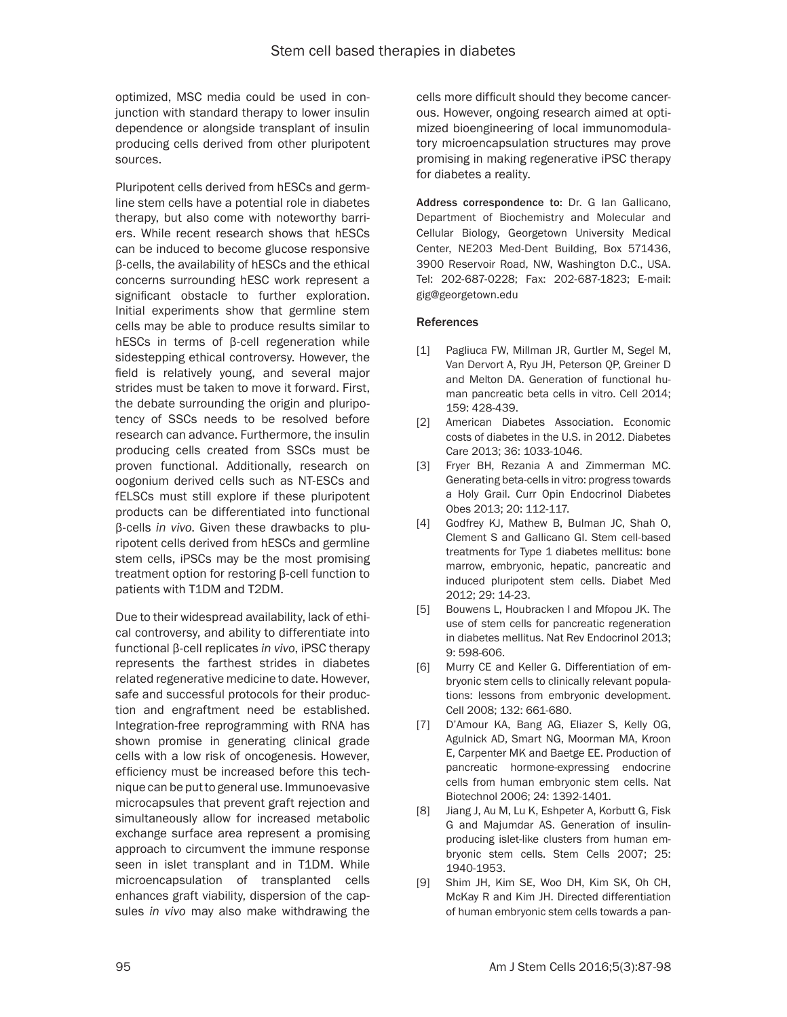optimized, MSC media could be used in conjunction with standard therapy to lower insulin dependence or alongside transplant of insulin producing cells derived from other pluripotent sources.

Pluripotent cells derived from hESCs and germline stem cells have a potential role in diabetes therapy, but also come with noteworthy barriers. While recent research shows that hESCs can be induced to become glucose responsive β-cells, the availability of hESCs and the ethical concerns surrounding hESC work represent a significant obstacle to further exploration. Initial experiments show that germline stem cells may be able to produce results similar to hESCs in terms of β-cell regeneration while sidestepping ethical controversy. However, the field is relatively young, and several major strides must be taken to move it forward. First, the debate surrounding the origin and pluripotency of SSCs needs to be resolved before research can advance. Furthermore, the insulin producing cells created from SSCs must be proven functional. Additionally, research on oogonium derived cells such as NT-ESCs and fELSCs must still explore if these pluripotent products can be differentiated into functional β-cells *in vivo*. Given these drawbacks to pluripotent cells derived from hESCs and germline stem cells, iPSCs may be the most promising treatment option for restoring β-cell function to patients with T1DM and T2DM.

Due to their widespread availability, lack of ethical controversy, and ability to differentiate into functional β-cell replicates *in vivo*, iPSC therapy represents the farthest strides in diabetes related regenerative medicine to date. However, safe and successful protocols for their production and engraftment need be established. Integration-free reprogramming with RNA has shown promise in generating clinical grade cells with a low risk of oncogenesis. However, efficiency must be increased before this technique can be put to general use. Immunoevasive microcapsules that prevent graft rejection and simultaneously allow for increased metabolic exchange surface area represent a promising approach to circumvent the immune response seen in islet transplant and in T1DM. While microencapsulation of transplanted cells enhances graft viability, dispersion of the capsules *in vivo* may also make withdrawing the

cells more difficult should they become cancerous. However, ongoing research aimed at optimized bioengineering of local immunomodulatory microencapsulation structures may prove promising in making regenerative iPSC therapy for diabetes a reality.

Address correspondence to: Dr. G Ian Gallicano, Department of Biochemistry and Molecular and Cellular Biology, Georgetown University Medical Center, NE203 Med-Dent Building, Box 571436, 3900 Reservoir Road, NW, Washington D.C., USA. Tel: 202-687-0228; Fax: 202-687-1823; E-mail: gig@georgetown.edu

#### References

- [1] Pagliuca FW, Millman JR, Gurtler M, Segel M, Van Dervort A, Ryu JH, Peterson QP, Greiner D and Melton DA. Generation of functional human pancreatic beta cells in vitro. Cell 2014; 159: 428-439.
- [2] American Diabetes Association. Economic costs of diabetes in the U.S. in 2012. Diabetes Care 2013; 36: 1033-1046.
- [3] Fryer BH, Rezania A and Zimmerman MC. Generating beta-cells in vitro: progress towards a Holy Grail. Curr Opin Endocrinol Diabetes Obes 2013; 20: 112-117.
- [4] Godfrey KJ, Mathew B, Bulman JC, Shah O, Clement S and Gallicano GI. Stem cell-based treatments for Type 1 diabetes mellitus: bone marrow, embryonic, hepatic, pancreatic and induced pluripotent stem cells. Diabet Med 2012; 29: 14-23.
- [5] Bouwens L, Houbracken I and Mfopou JK. The use of stem cells for pancreatic regeneration in diabetes mellitus. Nat Rev Endocrinol 2013; 9: 598-606.
- [6] Murry CE and Keller G. Differentiation of embryonic stem cells to clinically relevant populations: lessons from embryonic development. Cell 2008; 132: 661-680.
- [7] D'Amour KA, Bang AG, Eliazer S, Kelly OG, Agulnick AD, Smart NG, Moorman MA, Kroon E, Carpenter MK and Baetge EE. Production of pancreatic hormone-expressing endocrine cells from human embryonic stem cells. Nat Biotechnol 2006; 24: 1392-1401.
- [8] Jiang J, Au M, Lu K, Eshpeter A, Korbutt G, Fisk G and Majumdar AS. Generation of insulinproducing islet-like clusters from human embryonic stem cells. Stem Cells 2007; 25: 1940-1953.
- [9] Shim JH, Kim SE, Woo DH, Kim SK, Oh CH, McKay R and Kim JH. Directed differentiation of human embryonic stem cells towards a pan-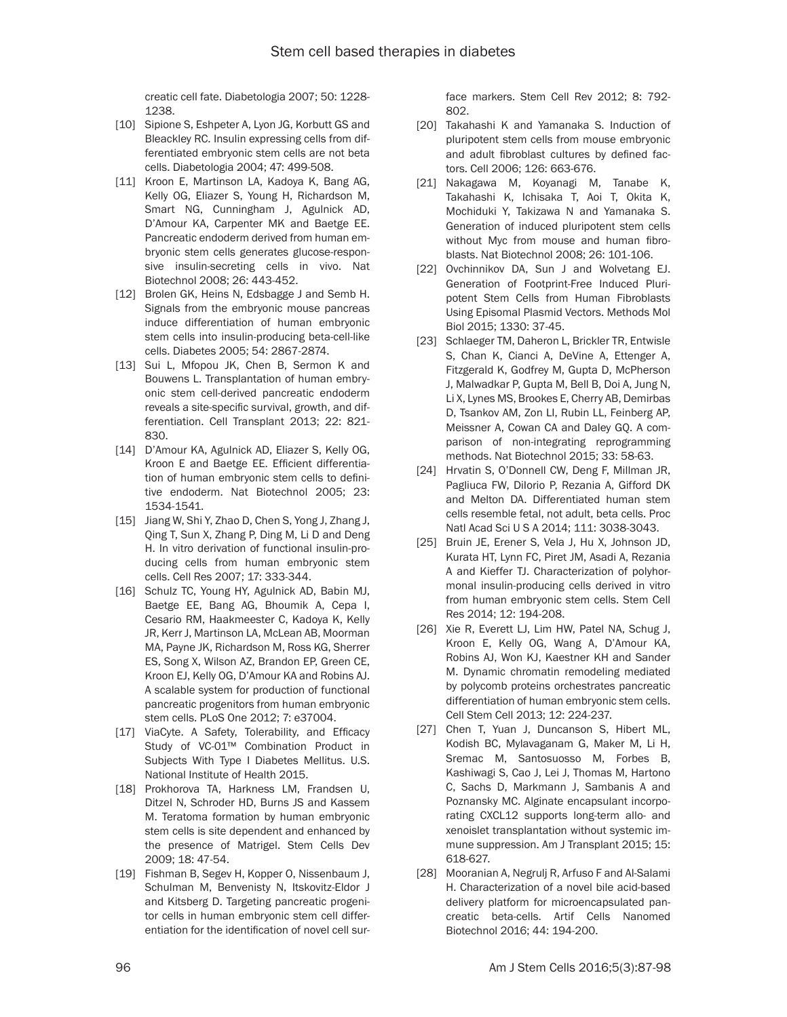creatic cell fate. Diabetologia 2007; 50: 1228- 1238.

- [10] Sipione S, Eshpeter A, Lyon JG, Korbutt GS and Bleackley RC. Insulin expressing cells from differentiated embryonic stem cells are not beta cells. Diabetologia 2004; 47: 499-508.
- [11] Kroon E, Martinson LA, Kadoya K, Bang AG, Kelly OG, Eliazer S, Young H, Richardson M, Smart NG, Cunningham J, Agulnick AD, D'Amour KA, Carpenter MK and Baetge EE. Pancreatic endoderm derived from human embryonic stem cells generates glucose-responsive insulin-secreting cells in vivo. Nat Biotechnol 2008; 26: 443-452.
- [12] Brolen GK, Heins N, Edsbagge J and Semb H. Signals from the embryonic mouse pancreas induce differentiation of human embryonic stem cells into insulin-producing beta-cell-like cells. Diabetes 2005; 54: 2867-2874.
- [13] Sui L, Mfopou JK, Chen B, Sermon K and Bouwens L. Transplantation of human embryonic stem cell-derived pancreatic endoderm reveals a site-specific survival, growth, and differentiation. Cell Transplant 2013; 22: 821- 830.
- [14] D'Amour KA, Agulnick AD, Eliazer S, Kelly OG, Kroon E and Baetge EE. Efficient differentiation of human embryonic stem cells to definitive endoderm. Nat Biotechnol 2005; 23: 1534-1541.
- [15] Jiang W, Shi Y, Zhao D, Chen S, Yong J, Zhang J, Qing T, Sun X, Zhang P, Ding M, Li D and Deng H. In vitro derivation of functional insulin-producing cells from human embryonic stem cells. Cell Res 2007; 17: 333-344.
- [16] Schulz TC, Young HY, Agulnick AD, Babin MJ, Baetge EE, Bang AG, Bhoumik A, Cepa I, Cesario RM, Haakmeester C, Kadoya K, Kelly JR, Kerr J, Martinson LA, McLean AB, Moorman MA, Payne JK, Richardson M, Ross KG, Sherrer ES, Song X, Wilson AZ, Brandon EP, Green CE, Kroon EJ, Kelly OG, D'Amour KA and Robins AJ. A scalable system for production of functional pancreatic progenitors from human embryonic stem cells. PLoS One 2012; 7: e37004.
- [17] ViaCyte. A Safety, Tolerability, and Efficacy Study of VC-01™ Combination Product in Subjects With Type I Diabetes Mellitus. U.S. National Institute of Health 2015.
- [18] Prokhorova TA, Harkness LM, Frandsen U, Ditzel N, Schroder HD, Burns JS and Kassem M. Teratoma formation by human embryonic stem cells is site dependent and enhanced by the presence of Matrigel. Stem Cells Dev 2009; 18: 47-54.
- [19] Fishman B, Segev H, Kopper O, Nissenbaum J, Schulman M, Benvenisty N, Itskovitz-Eldor J and Kitsberg D. Targeting pancreatic progenitor cells in human embryonic stem cell differentiation for the identification of novel cell sur-

face markers. Stem Cell Rev 2012; 8: 792- 802.

- [20] Takahashi K and Yamanaka S. Induction of pluripotent stem cells from mouse embryonic and adult fibroblast cultures by defined factors. Cell 2006; 126: 663-676.
- [21] Nakagawa M, Koyanagi M, Tanabe K, Takahashi K, Ichisaka T, Aoi T, Okita K, Mochiduki Y, Takizawa N and Yamanaka S. Generation of induced pluripotent stem cells without Myc from mouse and human fibroblasts. Nat Biotechnol 2008; 26: 101-106.
- [22] Ovchinnikov DA, Sun J and Wolvetang EJ. Generation of Footprint-Free Induced Pluripotent Stem Cells from Human Fibroblasts Using Episomal Plasmid Vectors. Methods Mol Biol 2015; 1330: 37-45.
- [23] Schlaeger TM, Daheron L, Brickler TR, Entwisle S, Chan K, Cianci A, DeVine A, Ettenger A, Fitzgerald K, Godfrey M, Gupta D, McPherson J, Malwadkar P, Gupta M, Bell B, Doi A, Jung N, Li X, Lynes MS, Brookes E, Cherry AB, Demirbas D, Tsankov AM, Zon LI, Rubin LL, Feinberg AP, Meissner A, Cowan CA and Daley GQ. A comparison of non-integrating reprogramming methods. Nat Biotechnol 2015; 33: 58-63.
- [24] Hrvatin S, O'Donnell CW, Deng F, Millman JR, Pagliuca FW, DiIorio P, Rezania A, Gifford DK and Melton DA. Differentiated human stem cells resemble fetal, not adult, beta cells. Proc Natl Acad Sci U S A 2014; 111: 3038-3043.
- [25] Bruin JE, Erener S, Vela J, Hu X, Johnson JD, Kurata HT, Lynn FC, Piret JM, Asadi A, Rezania A and Kieffer TJ. Characterization of polyhormonal insulin-producing cells derived in vitro from human embryonic stem cells. Stem Cell Res 2014; 12: 194-208.
- [26] Xie R, Everett LJ, Lim HW, Patel NA, Schug J, Kroon E, Kelly OG, Wang A, D'Amour KA, Robins AJ, Won KJ, Kaestner KH and Sander M. Dynamic chromatin remodeling mediated by polycomb proteins orchestrates pancreatic differentiation of human embryonic stem cells. Cell Stem Cell 2013; 12: 224-237.
- [27] Chen T, Yuan J, Duncanson S, Hibert ML, Kodish BC, Mylavaganam G, Maker M, Li H, Sremac M, Santosuosso M, Forbes B, Kashiwagi S, Cao J, Lei J, Thomas M, Hartono C, Sachs D, Markmann J, Sambanis A and Poznansky MC. Alginate encapsulant incorporating CXCL12 supports long-term allo- and xenoislet transplantation without systemic immune suppression. Am J Transplant 2015; 15: 618-627.
- [28] Mooranian A, Negrulj R, Arfuso F and Al-Salami H. Characterization of a novel bile acid-based delivery platform for microencapsulated pancreatic beta-cells. Artif Cells Nanomed Biotechnol 2016; 44: 194-200.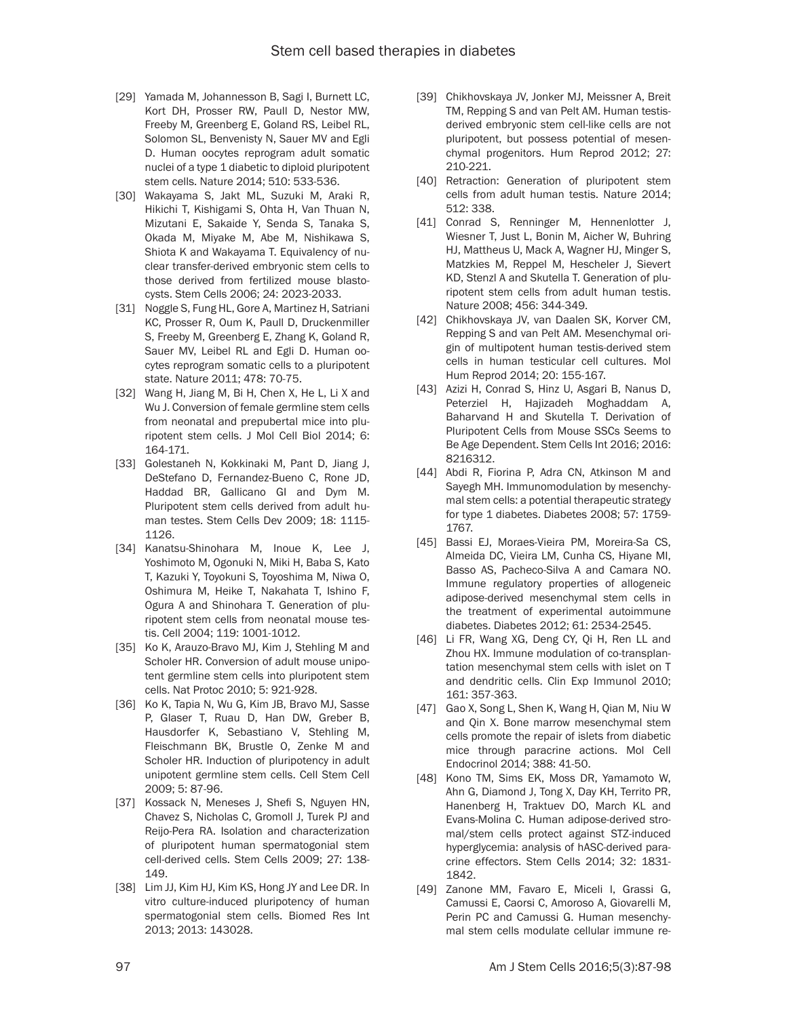- [29] Yamada M, Johannesson B, Sagi I, Burnett LC, Kort DH, Prosser RW, Paull D, Nestor MW, Freeby M, Greenberg E, Goland RS, Leibel RL, Solomon SL, Benvenisty N, Sauer MV and Egli D. Human oocytes reprogram adult somatic nuclei of a type 1 diabetic to diploid pluripotent stem cells. Nature 2014; 510: 533-536.
- [30] Wakayama S, Jakt ML, Suzuki M, Araki R, Hikichi T, Kishigami S, Ohta H, Van Thuan N, Mizutani E, Sakaide Y, Senda S, Tanaka S, Okada M, Miyake M, Abe M, Nishikawa S, Shiota K and Wakayama T. Equivalency of nuclear transfer-derived embryonic stem cells to those derived from fertilized mouse blastocysts. Stem Cells 2006; 24: 2023-2033.
- [31] Noggle S, Fung HL, Gore A, Martinez H, Satriani KC, Prosser R, Oum K, Paull D, Druckenmiller S, Freeby M, Greenberg E, Zhang K, Goland R, Sauer MV, Leibel RL and Egli D. Human oocytes reprogram somatic cells to a pluripotent state. Nature 2011; 478: 70-75.
- [32] Wang H, Jiang M, Bi H, Chen X, He L, Li X and Wu J. Conversion of female germline stem cells from neonatal and prepubertal mice into pluripotent stem cells. J Mol Cell Biol 2014; 6: 164-171.
- [33] Golestaneh N, Kokkinaki M, Pant D, Jiang J, DeStefano D, Fernandez-Bueno C, Rone JD, Haddad BR, Gallicano GI and Dym M. Pluripotent stem cells derived from adult human testes. Stem Cells Dev 2009; 18: 1115- 1126.
- [34] Kanatsu-Shinohara M, Inoue K, Lee J, Yoshimoto M, Ogonuki N, Miki H, Baba S, Kato T, Kazuki Y, Toyokuni S, Toyoshima M, Niwa O, Oshimura M, Heike T, Nakahata T, Ishino F, Ogura A and Shinohara T. Generation of pluripotent stem cells from neonatal mouse testis. Cell 2004; 119: 1001-1012.
- [35] Ko K, Arauzo-Bravo MJ, Kim J, Stehling M and Scholer HR. Conversion of adult mouse unipotent germline stem cells into pluripotent stem cells. Nat Protoc 2010; 5: 921-928.
- [36] Ko K, Tapia N, Wu G, Kim JB, Bravo MJ, Sasse P, Glaser T, Ruau D, Han DW, Greber B, Hausdorfer K, Sebastiano V, Stehling M, Fleischmann BK, Brustle O, Zenke M and Scholer HR. Induction of pluripotency in adult unipotent germline stem cells. Cell Stem Cell 2009; 5: 87-96.
- [37] Kossack N, Meneses J, Shefi S, Nguyen HN, Chavez S, Nicholas C, Gromoll J, Turek PJ and Reijo-Pera RA. Isolation and characterization of pluripotent human spermatogonial stem cell-derived cells. Stem Cells 2009; 27: 138- 149.
- [38] Lim JJ, Kim HJ, Kim KS, Hong JY and Lee DR. In vitro culture-induced pluripotency of human spermatogonial stem cells. Biomed Res Int 2013; 2013: 143028.
- [39] Chikhovskaya JV, Jonker MJ, Meissner A, Breit TM, Repping S and van Pelt AM. Human testisderived embryonic stem cell-like cells are not pluripotent, but possess potential of mesenchymal progenitors. Hum Reprod 2012; 27: 210-221.
- [40] Retraction: Generation of pluripotent stem cells from adult human testis. Nature 2014; 512: 338.
- [41] Conrad S, Renninger M, Hennenlotter J, Wiesner T, Just L, Bonin M, Aicher W, Buhring HJ, Mattheus U, Mack A, Wagner HJ, Minger S, Matzkies M, Reppel M, Hescheler J, Sievert KD, Stenzl A and Skutella T. Generation of pluripotent stem cells from adult human testis. Nature 2008; 456: 344-349.
- [42] Chikhovskaya JV, van Daalen SK, Korver CM, Repping S and van Pelt AM. Mesenchymal origin of multipotent human testis-derived stem cells in human testicular cell cultures. Mol Hum Reprod 2014; 20: 155-167.
- [43] Azizi H, Conrad S, Hinz U, Asgari B, Nanus D, Peterziel H, Hajizadeh Moghaddam A, Baharvand H and Skutella T. Derivation of Pluripotent Cells from Mouse SSCs Seems to Be Age Dependent. Stem Cells Int 2016; 2016: 8216312.
- [44] Abdi R, Fiorina P, Adra CN, Atkinson M and Sayegh MH. Immunomodulation by mesenchymal stem cells: a potential therapeutic strategy for type 1 diabetes. Diabetes 2008; 57: 1759- 1767.
- [45] Bassi EJ, Moraes-Vieira PM, Moreira-Sa CS, Almeida DC, Vieira LM, Cunha CS, Hiyane MI, Basso AS, Pacheco-Silva A and Camara NO. Immune regulatory properties of allogeneic adipose-derived mesenchymal stem cells in the treatment of experimental autoimmune diabetes. Diabetes 2012; 61: 2534-2545.
- [46] Li FR, Wang XG, Deng CY, Qi H, Ren LL and Zhou HX. Immune modulation of co-transplantation mesenchymal stem cells with islet on T and dendritic cells. Clin Exp Immunol 2010; 161: 357-363.
- [47] Gao X, Song L, Shen K, Wang H, Qian M, Niu W and Qin X. Bone marrow mesenchymal stem cells promote the repair of islets from diabetic mice through paracrine actions. Mol Cell Endocrinol 2014; 388: 41-50.
- [48] Kono TM, Sims EK, Moss DR, Yamamoto W, Ahn G, Diamond J, Tong X, Day KH, Territo PR, Hanenberg H, Traktuev DO, March KL and Evans-Molina C. Human adipose-derived stromal/stem cells protect against STZ-induced hyperglycemia: analysis of hASC-derived paracrine effectors. Stem Cells 2014; 32: 1831- 1842.
- [49] Zanone MM, Favaro E, Miceli I, Grassi G, Camussi E, Caorsi C, Amoroso A, Giovarelli M, Perin PC and Camussi G. Human mesenchymal stem cells modulate cellular immune re-